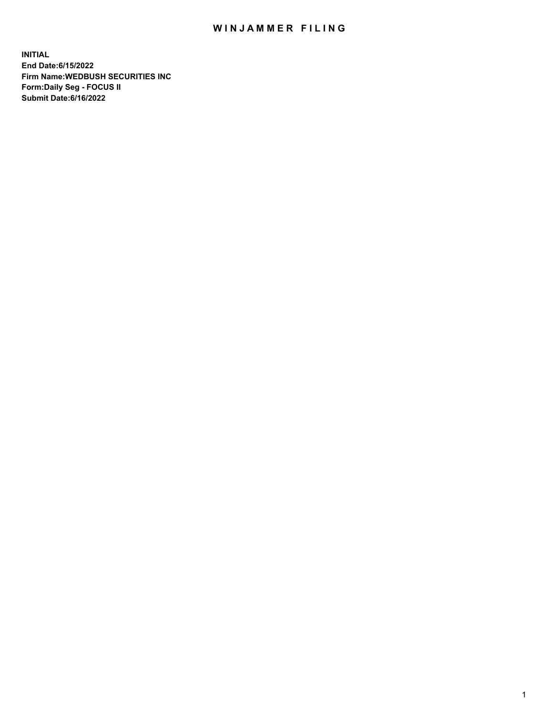## WIN JAMMER FILING

**INITIAL End Date:6/15/2022 Firm Name:WEDBUSH SECURITIES INC Form:Daily Seg - FOCUS II Submit Date:6/16/2022**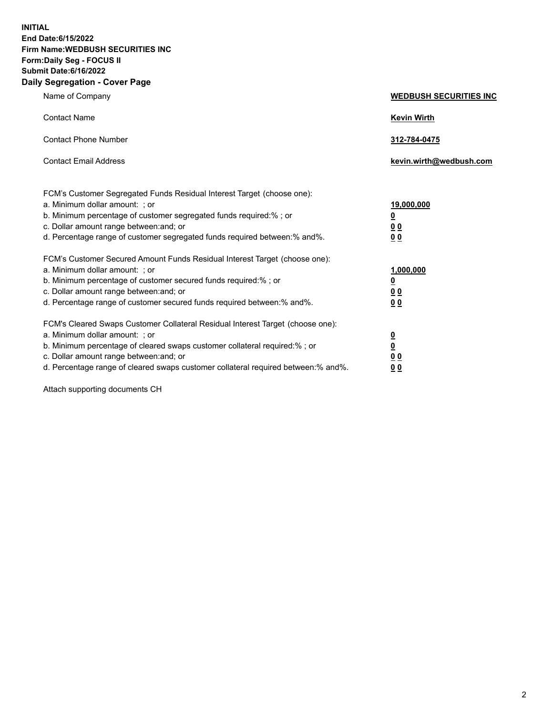**INITIAL End Date:6/15/2022 Firm Name:WEDBUSH SECURITIES INC Form:Daily Seg - FOCUS II Submit Date:6/16/2022 Daily Segregation - Cover Page**

| Name of Company                                                                                                                                                                                                                                                                                        | <b>WEDBUSH SECURITIES INC</b>                        |  |
|--------------------------------------------------------------------------------------------------------------------------------------------------------------------------------------------------------------------------------------------------------------------------------------------------------|------------------------------------------------------|--|
| <b>Contact Name</b>                                                                                                                                                                                                                                                                                    | <b>Kevin Wirth</b>                                   |  |
| <b>Contact Phone Number</b>                                                                                                                                                                                                                                                                            | 312-784-0475                                         |  |
| <b>Contact Email Address</b>                                                                                                                                                                                                                                                                           | kevin.wirth@wedbush.com                              |  |
| FCM's Customer Segregated Funds Residual Interest Target (choose one):<br>a. Minimum dollar amount: ; or<br>b. Minimum percentage of customer segregated funds required:% ; or<br>c. Dollar amount range between: and; or<br>d. Percentage range of customer segregated funds required between:% and%. | 19,000,000<br><u>0</u><br>00<br>0 <sub>0</sub>       |  |
| FCM's Customer Secured Amount Funds Residual Interest Target (choose one):<br>a. Minimum dollar amount: ; or<br>b. Minimum percentage of customer secured funds required:%; or<br>c. Dollar amount range between: and; or<br>d. Percentage range of customer secured funds required between: % and %.  | 1,000,000<br><u>0</u><br><u>00</u><br>0 <sub>0</sub> |  |
| FCM's Cleared Swaps Customer Collateral Residual Interest Target (choose one):<br>a. Minimum dollar amount: ; or<br>b. Minimum percentage of cleared swaps customer collateral required:%; or<br>c. Dollar amount range between: and; or                                                               | $\frac{0}{0}$<br>0 <sub>0</sub>                      |  |

d. Percentage range of cleared swaps customer collateral required between:% and%. **0 0**

Attach supporting documents CH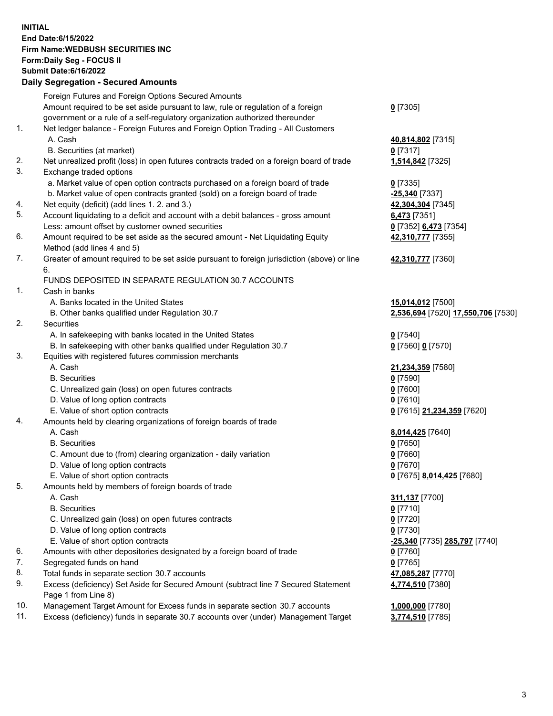**INITIAL End Date:6/15/2022 Firm Name:WEDBUSH SECURITIES INC Form:Daily Seg - FOCUS II Submit Date:6/16/2022 Daily Segregation - Secured Amounts**

|     | Dany Ocgregation - Occarea Anioante                                                         |                                    |
|-----|---------------------------------------------------------------------------------------------|------------------------------------|
|     | Foreign Futures and Foreign Options Secured Amounts                                         |                                    |
|     | Amount required to be set aside pursuant to law, rule or regulation of a foreign            | $0$ [7305]                         |
|     | government or a rule of a self-regulatory organization authorized thereunder                |                                    |
| 1.  | Net ledger balance - Foreign Futures and Foreign Option Trading - All Customers             |                                    |
|     | A. Cash                                                                                     | 40,814,802 [7315]                  |
|     | B. Securities (at market)                                                                   | $0$ [7317]                         |
| 2.  | Net unrealized profit (loss) in open futures contracts traded on a foreign board of trade   | 1,514,842 [7325]                   |
| 3.  | Exchange traded options                                                                     |                                    |
|     | a. Market value of open option contracts purchased on a foreign board of trade              | $0$ [7335]                         |
|     | b. Market value of open contracts granted (sold) on a foreign board of trade                | <b>-25,340</b> [7337]              |
| 4.  | Net equity (deficit) (add lines 1. 2. and 3.)                                               | 42,304,304 [7345]                  |
| 5.  | Account liquidating to a deficit and account with a debit balances - gross amount           | 6,473 [7351]                       |
|     | Less: amount offset by customer owned securities                                            | 0 [7352] 6,473 [7354]              |
| 6.  | Amount required to be set aside as the secured amount - Net Liquidating Equity              | 42,310,777 [7355]                  |
|     | Method (add lines 4 and 5)                                                                  |                                    |
| 7.  | Greater of amount required to be set aside pursuant to foreign jurisdiction (above) or line | 42,310,777 [7360]                  |
|     | 6.                                                                                          |                                    |
|     | FUNDS DEPOSITED IN SEPARATE REGULATION 30.7 ACCOUNTS                                        |                                    |
| 1.  | Cash in banks                                                                               |                                    |
|     | A. Banks located in the United States                                                       | 15,014,012 [7500]                  |
|     | B. Other banks qualified under Regulation 30.7                                              | 2,536,694 [7520] 17,550,706 [7530] |
| 2.  | Securities                                                                                  |                                    |
|     | A. In safekeeping with banks located in the United States                                   | $0$ [7540]                         |
|     | B. In safekeeping with other banks qualified under Regulation 30.7                          | 0 [7560] 0 [7570]                  |
| 3.  | Equities with registered futures commission merchants                                       |                                    |
|     | A. Cash                                                                                     | 21,234,359 [7580]                  |
|     | <b>B.</b> Securities                                                                        | $0$ [7590]                         |
|     | C. Unrealized gain (loss) on open futures contracts                                         | $0$ [7600]                         |
|     | D. Value of long option contracts                                                           | $0$ [7610]                         |
|     | E. Value of short option contracts                                                          | 0 [7615] 21,234,359 [7620]         |
| 4.  | Amounts held by clearing organizations of foreign boards of trade                           |                                    |
|     | A. Cash                                                                                     | 8,014,425 [7640]                   |
|     | <b>B.</b> Securities                                                                        | $0$ [7650]                         |
|     | C. Amount due to (from) clearing organization - daily variation                             | $0$ [7660]                         |
|     | D. Value of long option contracts                                                           | $0$ [7670]                         |
|     | E. Value of short option contracts                                                          | 0 [7675] 8,014,425 [7680]          |
| 5.  | Amounts held by members of foreign boards of trade                                          |                                    |
|     | A. Cash                                                                                     | 311,137 [7700]                     |
|     | <b>B.</b> Securities                                                                        | $0$ [7710]                         |
|     | C. Unrealized gain (loss) on open futures contracts                                         | $0$ [7720]                         |
|     | D. Value of long option contracts                                                           | $0$ [7730]                         |
|     | E. Value of short option contracts                                                          | -25,340 [7735] 285,797 [7740]      |
| 6.  | Amounts with other depositories designated by a foreign board of trade                      | 0 [7760]                           |
| 7.  | Segregated funds on hand                                                                    | $0$ [7765]                         |
| 8.  | Total funds in separate section 30.7 accounts                                               | 47,085,287 [7770]                  |
| 9.  | Excess (deficiency) Set Aside for Secured Amount (subtract line 7 Secured Statement         | 4,774,510 [7380]                   |
|     | Page 1 from Line 8)                                                                         |                                    |
| 10. | Management Target Amount for Excess funds in separate section 30.7 accounts                 | 1,000,000 [7780]                   |
| 11. | Excess (deficiency) funds in separate 30.7 accounts over (under) Management Target          | 3,774,510 [7785]                   |
|     |                                                                                             |                                    |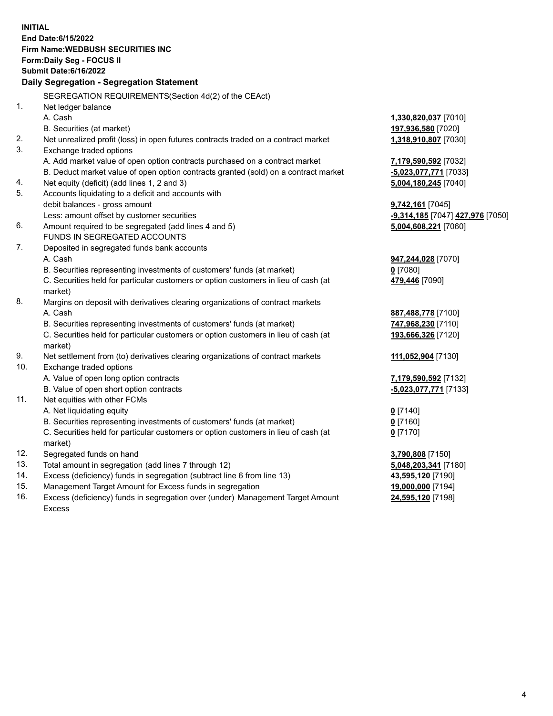|            | <b>INITIAL</b><br>End Date: 6/15/2022                                                                                               |                                               |
|------------|-------------------------------------------------------------------------------------------------------------------------------------|-----------------------------------------------|
|            | Firm Name: WEDBUSH SECURITIES INC                                                                                                   |                                               |
|            | Form: Daily Seg - FOCUS II                                                                                                          |                                               |
|            | <b>Submit Date:6/16/2022</b>                                                                                                        |                                               |
|            | Daily Segregation - Segregation Statement                                                                                           |                                               |
|            |                                                                                                                                     |                                               |
|            | SEGREGATION REQUIREMENTS(Section 4d(2) of the CEAct)                                                                                |                                               |
| 1.         | Net ledger balance<br>A. Cash                                                                                                       |                                               |
|            |                                                                                                                                     | 1,330,820,037 [7010]                          |
| 2.         | B. Securities (at market)                                                                                                           | 197,936,580 [7020]<br>1,318,910,807 [7030]    |
| 3.         | Net unrealized profit (loss) in open futures contracts traded on a contract market<br>Exchange traded options                       |                                               |
|            | A. Add market value of open option contracts purchased on a contract market                                                         |                                               |
|            | B. Deduct market value of open option contracts granted (sold) on a contract market                                                 | 7,179,590,592 [7032]<br>-5,023,077,771 [7033] |
| 4.         | Net equity (deficit) (add lines 1, 2 and 3)                                                                                         | 5,004,180,245 [7040]                          |
| 5.         | Accounts liquidating to a deficit and accounts with                                                                                 |                                               |
|            | debit balances - gross amount                                                                                                       | 9,742,161 [7045]                              |
|            | Less: amount offset by customer securities                                                                                          | -9,314,185 [7047] 427,976 [7050]              |
| 6.         | Amount required to be segregated (add lines 4 and 5)                                                                                | 5,004,608,221 [7060]                          |
|            | <b>FUNDS IN SEGREGATED ACCOUNTS</b>                                                                                                 |                                               |
| 7.         | Deposited in segregated funds bank accounts                                                                                         |                                               |
|            | A. Cash                                                                                                                             | 947,244,028 [7070]                            |
|            | B. Securities representing investments of customers' funds (at market)                                                              | $0$ [7080]                                    |
|            | C. Securities held for particular customers or option customers in lieu of cash (at                                                 | 479,446 [7090]                                |
|            | market)                                                                                                                             |                                               |
| 8.         | Margins on deposit with derivatives clearing organizations of contract markets                                                      |                                               |
|            | A. Cash                                                                                                                             | 887,488,778 [7100]                            |
|            | B. Securities representing investments of customers' funds (at market)                                                              | 747,968,230 [7110]                            |
|            | C. Securities held for particular customers or option customers in lieu of cash (at                                                 | 193,666,326 [7120]                            |
|            | market)                                                                                                                             |                                               |
| 9.         | Net settlement from (to) derivatives clearing organizations of contract markets                                                     | 111,052,904 [7130]                            |
| 10.        | Exchange traded options                                                                                                             |                                               |
|            | A. Value of open long option contracts                                                                                              | 7,179,590,592 [7132]                          |
|            | B. Value of open short option contracts                                                                                             | <u>-5,023,077,771</u> [7133]                  |
| 11.        | Net equities with other FCMs                                                                                                        |                                               |
|            | A. Net liquidating equity                                                                                                           | $0$ [7140]                                    |
|            | B. Securities representing investments of customers' funds (at market)                                                              | <u>0</u> [7160]                               |
|            | C. Securities held for particular customers or option customers in lieu of cash (at                                                 | $0$ [7170]                                    |
|            | market)                                                                                                                             |                                               |
| 12.        | Segregated funds on hand                                                                                                            | 3,790,808 [7150]                              |
| 13.<br>14. | Total amount in segregation (add lines 7 through 12)                                                                                | 5,048,203,341 [7180]                          |
| 15.        | Excess (deficiency) funds in segregation (subtract line 6 from line 13)<br>Management Target Amount for Excess funds in segregation | 43,595,120 [7190]<br>19,000,000 [7194]        |
| 16.        | Excess (deficiency) funds in segregation over (under) Management Target Amount                                                      | 24,595,120 [7198]                             |
|            |                                                                                                                                     |                                               |

Excess